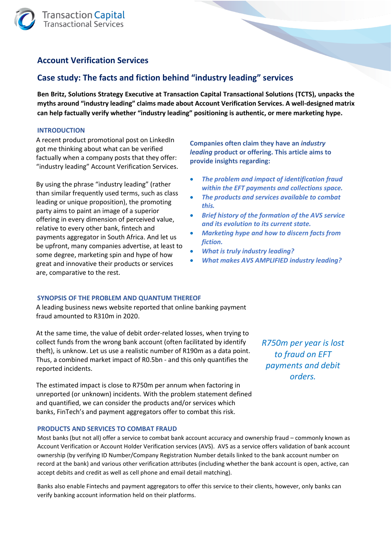

# **Account Verification Services**

# **Case study: The facts and fiction behind "industry leading" services**

**Ben Britz, Solutions Strategy Executive at Transaction Capital Transactional Solutions (TCTS), unpacks the myths around "industry leading" claims made about Account Verification Services. A well-designed matrix can help factually verify whether "industry leading" positioning is authentic, or mere marketing hype.** 

# **INTRODUCTION**

A recent product promotional post on LinkedIn got me thinking about what can be verified factually when a company posts that they offer: "industry leading" Account Verification Services.

By using the phrase "industry leading" (rather than similar frequently used terms, such as class leading or unique proposition), the promoting party aims to paint an image of a superior offering in every dimension of perceived value, relative to every other bank, fintech and payments aggregator in South Africa. And let us be upfront, many companies advertise, at least to some degree, marketing spin and hype of how great and innovative their products or services are, comparative to the rest.

**Companies often claim they have an** *industry leading* **product or offering. This article aims to provide insights regarding:**

- *The problem and impact of identification fraud within the EFT payments and collections space.*
- *The products and services available to combat this.*
- *Brief history of the formation of the AVS service and its evolution to its current state.*
- *Marketing hype and how to discern facts from fiction.*
- *What is truly industry leading?*
- *What makes AVS AMPLIFIED industry leading?*

# **SYNOPSIS OF THE PROBLEM AND QUANTUM THEREOF**

A leading business news website reported that online banking payment fraud amounted to R310m in 2020.

At the same time, the value of debit order-related losses, when trying to collect funds from the wrong bank account (often facilitated by identify theft), is unknow. Let us use a realistic number of R190m as a data point. Thus, a combined market impact of R0.5bn - and this only quantifies the reported incidents.

The estimated impact is close to R750m per annum when factoring in unreported (or unknown) incidents. With the problem statement defined and quantified, we can consider the products and/or services which banks, FinTech's and payment aggregators offer to combat this risk.

# **PRODUCTS AND SERVICES TO COMBAT FRAUD**

Most banks (but not all) offer a service to combat bank account accuracy and ownership fraud – commonly known as Account Verification or Account Holder Verification services (AVS). AVS as a service offers validation of bank account ownership (by verifying ID Number/Company Registration Number details linked to the bank account number on record at the bank) and various other verification attributes (including whether the bank account is open, active, can accept debits and credit as well as cell phone and email detail matching).

Banks also enable Fintechs and payment aggregators to offer this service to their clients, however, only banks can verify banking account information held on their platforms.

*R750m per year is lost to fraud on EFT payments and debit orders.*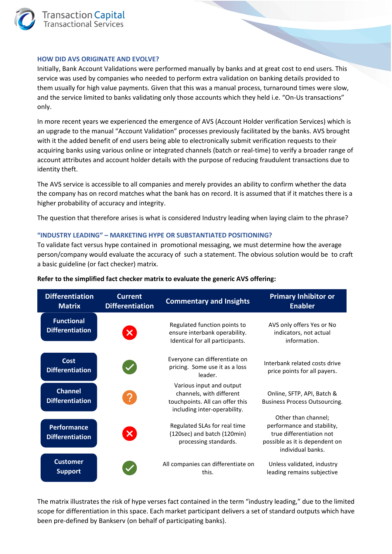

#### **HOW DID AVS ORIGINATE AND EVOLVE?**

Initially, Bank Account Validations were performed manually by banks and at great cost to end users. This service was used by companies who needed to perform extra validation on banking details provided to them usually for high value payments. Given that this was a manual process, turnaround times were slow, and the service limited to banks validating only those accounts which they held i.e. "On-Us transactions" only.

In more recent years we experienced the emergence of AVS (Account Holder verification Services) which is an upgrade to the manual "Account Validation" processes previously facilitated by the banks. AVS brought with it the added benefit of end users being able to electronically submit verification requests to their acquiring banks using various online or integrated channels (batch or real-time) to verify a broader range of account attributes and account holder details with the purpose of reducing fraudulent transactions due to identity theft.

The AVS service is accessible to all companies and merely provides an ability to confirm whether the data the company has on record matches what the bank has on record. It is assumed that if it matches there is a higher probability of accuracy and integrity.

The question that therefore arises is what is considered Industry leading when laying claim to the phrase?

# **"INDUSTRY LEADING" – MARKETING HYPE OR SUBSTANTIATED POSITIONING?**

To validate fact versus hype contained in promotional messaging, we must determine how the average person/company would evaluate the accuracy of such a statement. The obvious solution would be to craft a basic guideline (or fact checker) matrix.

| <b>Differentiation</b><br><b>Matrix</b>      | <b>Current</b><br><b>Differentiation</b> | <b>Commentary and Insights</b>                                                                                          | <b>Primary Inhibitor or</b><br><b>Enabler</b>                                                                                        |
|----------------------------------------------|------------------------------------------|-------------------------------------------------------------------------------------------------------------------------|--------------------------------------------------------------------------------------------------------------------------------------|
| <b>Functional</b><br><b>Differentiation</b>  | $\boldsymbol{\mathsf{x}}$                | Regulated function points to<br>ensure interbank operability.<br>Identical for all participants.                        | AVS only offers Yes or No<br>indicators, not actual<br>information.                                                                  |
| Cost<br><b>Differentiation</b>               |                                          | Everyone can differentiate on<br>pricing. Some use it as a loss<br>leader.                                              | Interbank related costs drive<br>price points for all payers.                                                                        |
| <b>Channel</b><br><b>Differentiation</b>     | ?                                        | Various input and output<br>channels, with different<br>touchpoints. All can offer this<br>including inter-operability. | Online, SFTP, API, Batch &<br><b>Business Process Outsourcing.</b>                                                                   |
| <b>Performance</b><br><b>Differentiation</b> | $\boldsymbol{\mathsf{x}}$                | Regulated SLAs for real time<br>(120sec) and batch (120min)<br>processing standards.                                    | Other than channel;<br>performance and stability,<br>true differentiation not<br>possible as it is dependent on<br>individual banks. |
| <b>Customer</b><br><b>Support</b>            |                                          | All companies can differentiate on<br>this.                                                                             | Unless validated, industry<br>leading remains subjective                                                                             |

#### **Refer to the simplified fact checker matrix to evaluate the generic AVS offering:**

The matrix illustrates the risk of hype verses fact contained in the term "industry leading," due to the limited scope for differentiation in this space. Each market participant delivers a set of standard outputs which have been pre-defined by Bankserv (on behalf of participating banks).